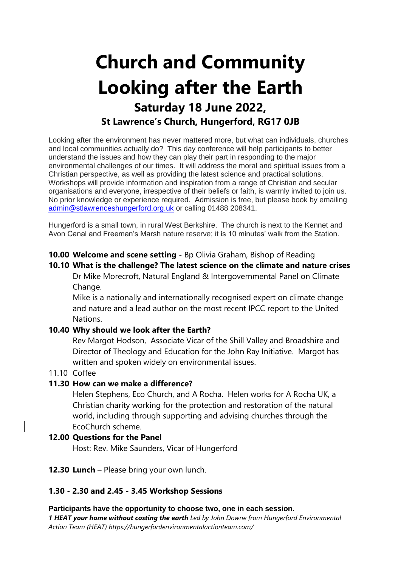# **Church and Community Looking after the Earth Saturday 18 June 2022, St Lawrence's Church, Hungerford, RG17 0JB**

Looking after the environment has never mattered more, but what can individuals, churches and local communities actually do? This day conference will help participants to better understand the issues and how they can play their part in responding to the major environmental challenges of our times. It will address the moral and spiritual issues from a Christian perspective, as well as providing the latest science and practical solutions. Workshops will provide information and inspiration from a range of Christian and secular organisations and everyone, irrespective of their beliefs or faith, is warmly invited to join us. No prior knowledge or experience required. Admission is free, but please book by emailing [admin@stlawrenceshungerford.org.uk](mailto:admin@​stlawrenceshungerford.org.uk) or calling 01488 208341.

Hungerford is a small town, in rural West Berkshire. The church is next to the Kennet and Avon Canal and Freeman's Marsh nature reserve; it is 10 minutes' walk from the Station.

# **10.00 Welcome and scene setting -** Bp Olivia Graham, Bishop of Reading

# **10.10 What is the challenge? The latest science on the climate and nature crises**

Dr Mike Morecroft, Natural England & Intergovernmental Panel on Climate Change.

Mike is a nationally and internationally recognised expert on climate change and nature and a lead author on the most recent IPCC report to the United Nations.

# **10.40 Why should we look after the Earth?**

Rev Margot Hodson, Associate Vicar of the Shill Valley and Broadshire and Director of Theology and Education for the John Ray Initiative. Margot has written and spoken widely on environmental issues.

# 11.10 Coffee

#### **11.30 How can we make a difference?**

Helen Stephens, Eco Church, and A Rocha. Helen works for A Rocha UK, a Christian charity working for the protection and restoration of the natural world, including through supporting and advising churches through the EcoChurch scheme.

#### **12.00 Questions for the Panel**

Host: Rev. Mike Saunders, Vicar of Hungerford

#### **12.30 Lunch** – Please bring your own lunch.

# **1.30 - 2.30 and 2.45 - 3.45 Workshop Sessions**

#### **Participants have the opportunity to choose two, one in each session.**

*1 HEAT your home without costing the earth Led by John Downe from Hungerford Environmental Action Team (HEAT) https://hungerfordenvironmentalactionteam.com/*